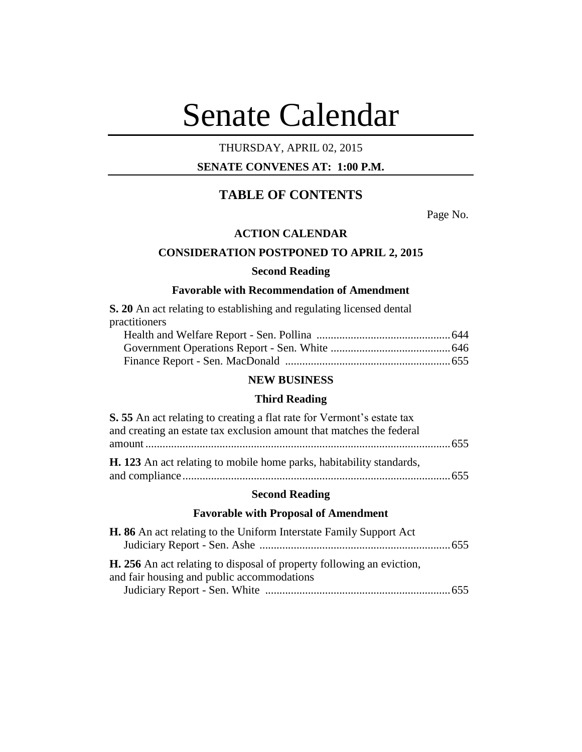# Senate Calendar

# THURSDAY, APRIL 02, 2015

# **SENATE CONVENES AT: 1:00 P.M.**

# **TABLE OF CONTENTS**

Page No.

#### **ACTION CALENDAR**

# **CONSIDERATION POSTPONED TO APRIL 2, 2015**

#### **Second Reading**

# **Favorable with Recommendation of Amendment**

**S. 20** An act relating to establishing and regulating licensed dental practitioners Health and Welfare Report - Sen. Pollina ...............................................644

# **NEW BUSINESS**

#### **Third Reading**

| S. 55 An act relating to creating a flat rate for Vermont's estate tax |  |
|------------------------------------------------------------------------|--|
| and creating an estate tax exclusion amount that matches the federal   |  |
|                                                                        |  |
| H. 123 An act relating to mobile home parks, habitability standards,   |  |
|                                                                        |  |

#### **Second Reading**

#### **Favorable with Proposal of Amendment**

| <b>H. 86</b> An act relating to the Uniform Interstate Family Support Act                                                  |  |
|----------------------------------------------------------------------------------------------------------------------------|--|
|                                                                                                                            |  |
| <b>H.</b> 256 An act relating to disposal of property following an eviction,<br>and fair housing and public accommodations |  |
|                                                                                                                            |  |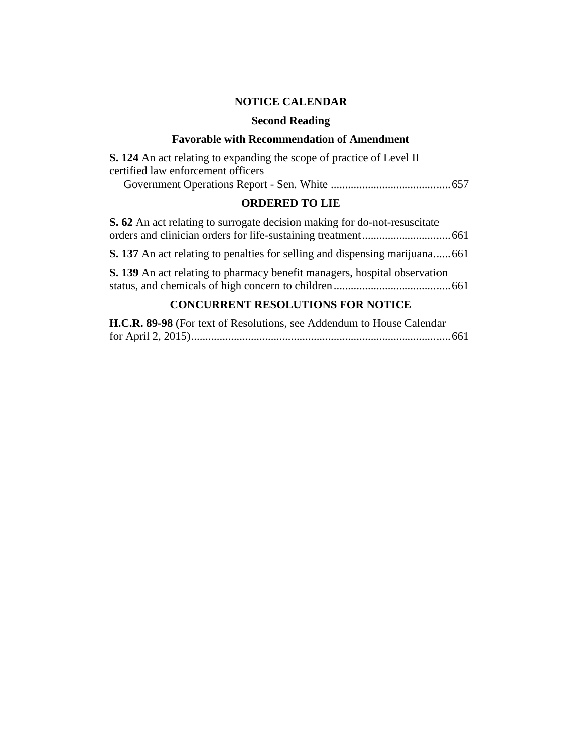# **NOTICE CALENDAR**

# **Second Reading**

# **Favorable with Recommendation of Amendment**

| <b>S. 124</b> An act relating to expanding the scope of practice of Level II |
|------------------------------------------------------------------------------|
| certified law enforcement officers                                           |
|                                                                              |

# **ORDERED TO LIE**

| S. 62 An act relating to surrogate decision making for do-not-resuscitate           |  |
|-------------------------------------------------------------------------------------|--|
|                                                                                     |  |
| <b>S. 137</b> An act relating to penalties for selling and dispensing marijuana 661 |  |
| <b>S. 139</b> An act relating to pharmacy benefit managers, hospital observation    |  |
|                                                                                     |  |

# **CONCURRENT RESOLUTIONS FOR NOTICE**

| H.C.R. 89-98 (For text of Resolutions, see Addendum to House Calendar |  |
|-----------------------------------------------------------------------|--|
|                                                                       |  |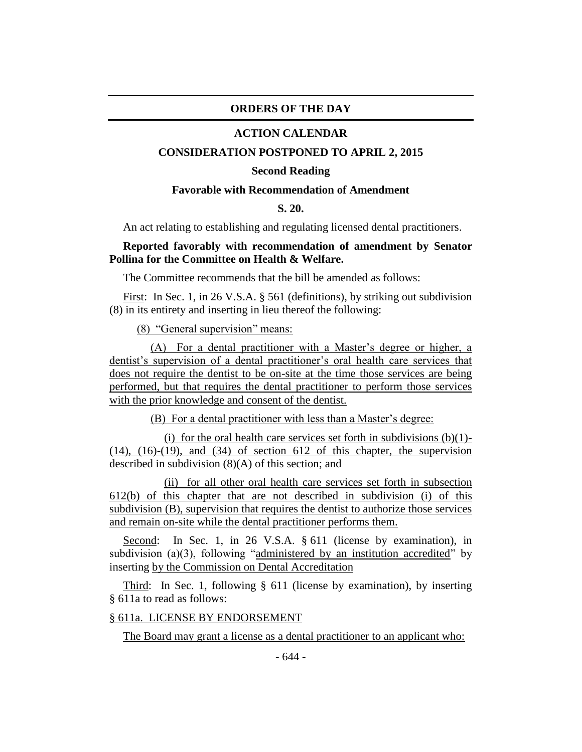## **ORDERS OF THE DAY**

#### **ACTION CALENDAR**

#### **CONSIDERATION POSTPONED TO APRIL 2, 2015**

#### **Second Reading**

## **Favorable with Recommendation of Amendment**

## **S. 20.**

An act relating to establishing and regulating licensed dental practitioners.

# **Reported favorably with recommendation of amendment by Senator Pollina for the Committee on Health & Welfare.**

The Committee recommends that the bill be amended as follows:

First: In Sec. 1, in 26 V.S.A. § 561 (definitions), by striking out subdivision (8) in its entirety and inserting in lieu thereof the following:

(8) "General supervision" means:

(A) For a dental practitioner with a Master's degree or higher, a dentist's supervision of a dental practitioner's oral health care services that does not require the dentist to be on-site at the time those services are being performed, but that requires the dental practitioner to perform those services with the prior knowledge and consent of the dentist.

(B) For a dental practitioner with less than a Master's degree:

(i) for the oral health care services set forth in subdivisions  $(b)(1)$ - $(14)$ ,  $(16)-(19)$ , and  $(34)$  of section 612 of this chapter, the supervision described in subdivision (8)(A) of this section; and

(ii) for all other oral health care services set forth in subsection 612(b) of this chapter that are not described in subdivision (i) of this subdivision (B), supervision that requires the dentist to authorize those services and remain on-site while the dental practitioner performs them.

Second: In Sec. 1, in 26 V.S.A. § 611 (license by examination), in subdivision (a)(3), following "administered by an institution accredited" by inserting by the Commission on Dental Accreditation

Third: In Sec. 1, following § 611 (license by examination), by inserting § 611a to read as follows:

## § 611a. LICENSE BY ENDORSEMENT

The Board may grant a license as a dental practitioner to an applicant who: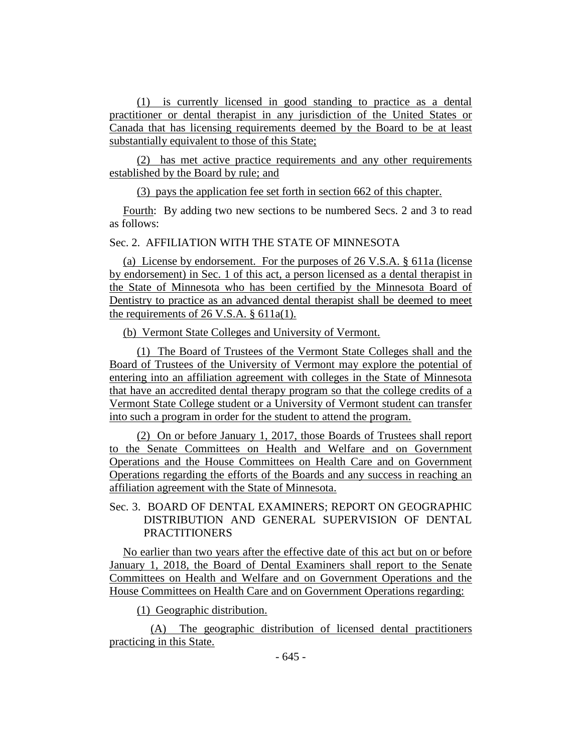(1) is currently licensed in good standing to practice as a dental practitioner or dental therapist in any jurisdiction of the United States or Canada that has licensing requirements deemed by the Board to be at least substantially equivalent to those of this State;

(2) has met active practice requirements and any other requirements established by the Board by rule; and

(3) pays the application fee set forth in section 662 of this chapter.

Fourth: By adding two new sections to be numbered Secs. 2 and 3 to read as follows:

# Sec. 2. AFFILIATION WITH THE STATE OF MINNESOTA

(a) License by endorsement. For the purposes of 26 V.S.A. § 611a (license by endorsement) in Sec. 1 of this act, a person licensed as a dental therapist in the State of Minnesota who has been certified by the Minnesota Board of Dentistry to practice as an advanced dental therapist shall be deemed to meet the requirements of 26 V.S.A. § 611a(1).

(b) Vermont State Colleges and University of Vermont.

(1) The Board of Trustees of the Vermont State Colleges shall and the Board of Trustees of the University of Vermont may explore the potential of entering into an affiliation agreement with colleges in the State of Minnesota that have an accredited dental therapy program so that the college credits of a Vermont State College student or a University of Vermont student can transfer into such a program in order for the student to attend the program.

(2) On or before January 1, 2017, those Boards of Trustees shall report to the Senate Committees on Health and Welfare and on Government Operations and the House Committees on Health Care and on Government Operations regarding the efforts of the Boards and any success in reaching an affiliation agreement with the State of Minnesota.

# Sec. 3. BOARD OF DENTAL EXAMINERS; REPORT ON GEOGRAPHIC DISTRIBUTION AND GENERAL SUPERVISION OF DENTAL PRACTITIONERS

No earlier than two years after the effective date of this act but on or before January 1, 2018, the Board of Dental Examiners shall report to the Senate Committees on Health and Welfare and on Government Operations and the House Committees on Health Care and on Government Operations regarding:

(1) Geographic distribution.

(A) The geographic distribution of licensed dental practitioners practicing in this State.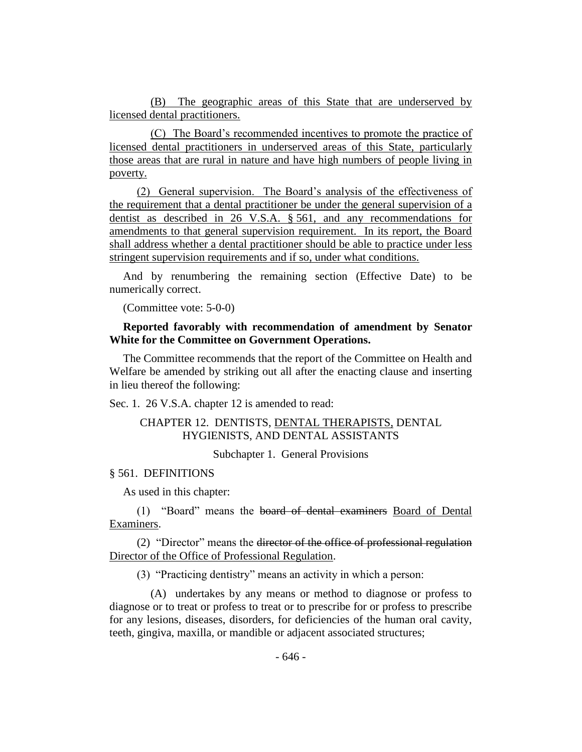(B) The geographic areas of this State that are underserved by licensed dental practitioners.

(C) The Board's recommended incentives to promote the practice of licensed dental practitioners in underserved areas of this State, particularly those areas that are rural in nature and have high numbers of people living in poverty.

(2) General supervision. The Board's analysis of the effectiveness of the requirement that a dental practitioner be under the general supervision of a dentist as described in 26 V.S.A. § 561, and any recommendations for amendments to that general supervision requirement. In its report, the Board shall address whether a dental practitioner should be able to practice under less stringent supervision requirements and if so, under what conditions.

And by renumbering the remaining section (Effective Date) to be numerically correct.

(Committee vote: 5-0-0)

# **Reported favorably with recommendation of amendment by Senator White for the Committee on Government Operations.**

The Committee recommends that the report of the Committee on Health and Welfare be amended by striking out all after the enacting clause and inserting in lieu thereof the following:

Sec. 1. 26 V.S.A. chapter 12 is amended to read:

# CHAPTER 12. DENTISTS, DENTAL THERAPISTS, DENTAL HYGIENISTS, AND DENTAL ASSISTANTS

Subchapter 1. General Provisions

## § 561. DEFINITIONS

As used in this chapter:

(1) "Board" means the board of dental examiners Board of Dental Examiners.

(2) "Director" means the director of the office of professional regulation Director of the Office of Professional Regulation.

(3) "Practicing dentistry" means an activity in which a person:

(A) undertakes by any means or method to diagnose or profess to diagnose or to treat or profess to treat or to prescribe for or profess to prescribe for any lesions, diseases, disorders, for deficiencies of the human oral cavity, teeth, gingiva, maxilla, or mandible or adjacent associated structures;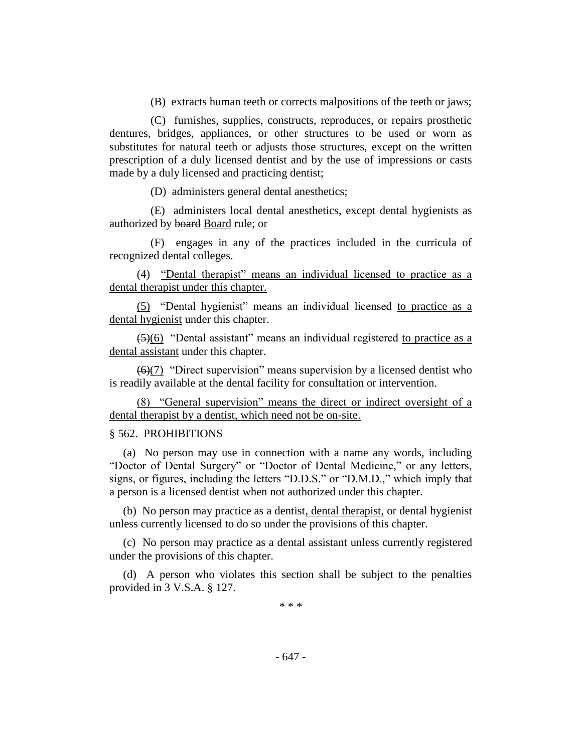(B) extracts human teeth or corrects malpositions of the teeth or jaws;

(C) furnishes, supplies, constructs, reproduces, or repairs prosthetic dentures, bridges, appliances, or other structures to be used or worn as substitutes for natural teeth or adjusts those structures, except on the written prescription of a duly licensed dentist and by the use of impressions or casts made by a duly licensed and practicing dentist;

(D) administers general dental anesthetics;

(E) administers local dental anesthetics, except dental hygienists as authorized by board Board rule; or

(F) engages in any of the practices included in the curricula of recognized dental colleges.

(4) "Dental therapist" means an individual licensed to practice as a dental therapist under this chapter.

(5) "Dental hygienist" means an individual licensed to practice as a dental hygienist under this chapter.

 $\left( \frac{5}{6} \right)$  "Dental assistant" means an individual registered to practice as a dental assistant under this chapter.

 $\left(\frac{6}{7}\right)$  "Direct supervision" means supervision by a licensed dentist who is readily available at the dental facility for consultation or intervention.

(8) "General supervision" means the direct or indirect oversight of a dental therapist by a dentist, which need not be on-site.

# § 562. PROHIBITIONS

(a) No person may use in connection with a name any words, including "Doctor of Dental Surgery" or "Doctor of Dental Medicine," or any letters, signs, or figures, including the letters "D.D.S." or "D.M.D.," which imply that a person is a licensed dentist when not authorized under this chapter.

(b) No person may practice as a dentist, dental therapist, or dental hygienist unless currently licensed to do so under the provisions of this chapter.

(c) No person may practice as a dental assistant unless currently registered under the provisions of this chapter.

(d) A person who violates this section shall be subject to the penalties provided in 3 V.S.A. § 127.

\* \* \*

- 647 -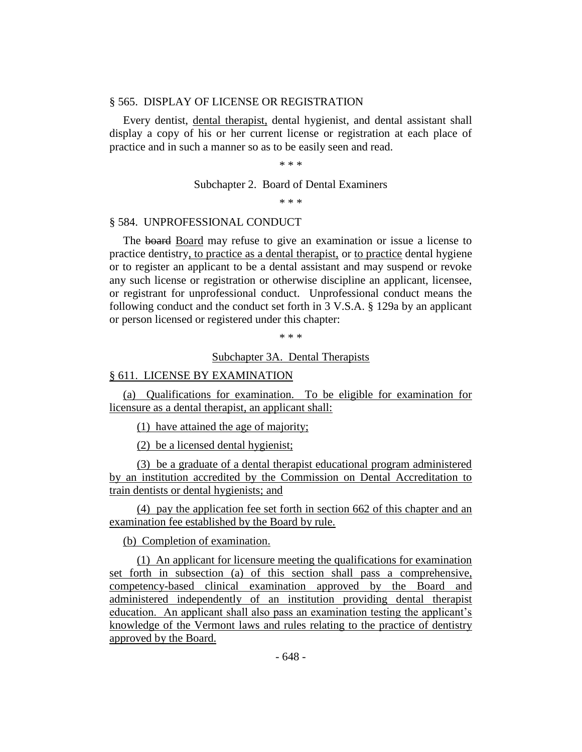# § 565. DISPLAY OF LICENSE OR REGISTRATION

Every dentist, dental therapist, dental hygienist, and dental assistant shall display a copy of his or her current license or registration at each place of practice and in such a manner so as to be easily seen and read.

#### \* \* \*

#### Subchapter 2. Board of Dental Examiners

\* \* \*

#### § 584. UNPROFESSIONAL CONDUCT

The board Board may refuse to give an examination or issue a license to practice dentistry, to practice as a dental therapist, or to practice dental hygiene or to register an applicant to be a dental assistant and may suspend or revoke any such license or registration or otherwise discipline an applicant, licensee, or registrant for unprofessional conduct. Unprofessional conduct means the following conduct and the conduct set forth in 3 V.S.A. § 129a by an applicant or person licensed or registered under this chapter:

\* \* \*

#### Subchapter 3A. Dental Therapists

#### § 611. LICENSE BY EXAMINATION

(a) Qualifications for examination. To be eligible for examination for licensure as a dental therapist, an applicant shall:

(1) have attained the age of majority;

(2) be a licensed dental hygienist;

(3) be a graduate of a dental therapist educational program administered by an institution accredited by the Commission on Dental Accreditation to train dentists or dental hygienists; and

(4) pay the application fee set forth in section 662 of this chapter and an examination fee established by the Board by rule.

(b) Completion of examination.

(1) An applicant for licensure meeting the qualifications for examination set forth in subsection (a) of this section shall pass a comprehensive, competency-based clinical examination approved by the Board and administered independently of an institution providing dental therapist education. An applicant shall also pass an examination testing the applicant's knowledge of the Vermont laws and rules relating to the practice of dentistry approved by the Board.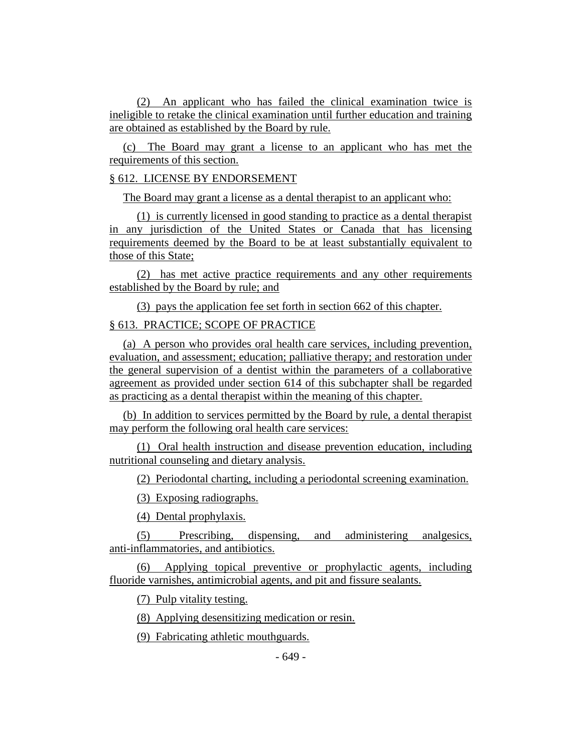(2) An applicant who has failed the clinical examination twice is ineligible to retake the clinical examination until further education and training are obtained as established by the Board by rule.

(c) The Board may grant a license to an applicant who has met the requirements of this section.

## § 612. LICENSE BY ENDORSEMENT

The Board may grant a license as a dental therapist to an applicant who:

(1) is currently licensed in good standing to practice as a dental therapist in any jurisdiction of the United States or Canada that has licensing requirements deemed by the Board to be at least substantially equivalent to those of this State;

(2) has met active practice requirements and any other requirements established by the Board by rule; and

(3) pays the application fee set forth in section 662 of this chapter.

# § 613. PRACTICE; SCOPE OF PRACTICE

(a) A person who provides oral health care services, including prevention, evaluation, and assessment; education; palliative therapy; and restoration under the general supervision of a dentist within the parameters of a collaborative agreement as provided under section 614 of this subchapter shall be regarded as practicing as a dental therapist within the meaning of this chapter.

(b) In addition to services permitted by the Board by rule, a dental therapist may perform the following oral health care services:

(1) Oral health instruction and disease prevention education, including nutritional counseling and dietary analysis.

(2) Periodontal charting, including a periodontal screening examination.

(3) Exposing radiographs.

(4) Dental prophylaxis.

(5) Prescribing, dispensing, and administering analgesics, anti-inflammatories, and antibiotics.

(6) Applying topical preventive or prophylactic agents, including fluoride varnishes, antimicrobial agents, and pit and fissure sealants.

(7) Pulp vitality testing.

(8) Applying desensitizing medication or resin.

(9) Fabricating athletic mouthguards.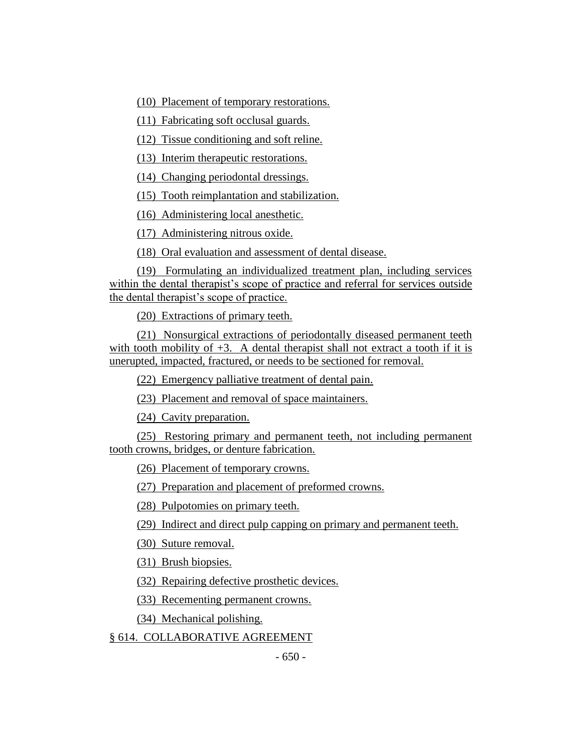(10) Placement of temporary restorations.

(11) Fabricating soft occlusal guards.

(12) Tissue conditioning and soft reline.

(13) Interim therapeutic restorations.

(14) Changing periodontal dressings.

(15) Tooth reimplantation and stabilization.

(16) Administering local anesthetic.

(17) Administering nitrous oxide.

(18) Oral evaluation and assessment of dental disease.

(19) Formulating an individualized treatment plan, including services within the dental therapist's scope of practice and referral for services outside the dental therapist's scope of practice.

(20) Extractions of primary teeth.

(21) Nonsurgical extractions of periodontally diseased permanent teeth with tooth mobility of  $+3$ . A dental therapist shall not extract a tooth if it is unerupted, impacted, fractured, or needs to be sectioned for removal.

(22) Emergency palliative treatment of dental pain.

(23) Placement and removal of space maintainers.

(24) Cavity preparation.

(25) Restoring primary and permanent teeth, not including permanent tooth crowns, bridges, or denture fabrication.

(26) Placement of temporary crowns.

(27) Preparation and placement of preformed crowns.

(28) Pulpotomies on primary teeth.

(29) Indirect and direct pulp capping on primary and permanent teeth.

(30) Suture removal.

(31) Brush biopsies.

(32) Repairing defective prosthetic devices.

(33) Recementing permanent crowns.

(34) Mechanical polishing.

§ 614. COLLABORATIVE AGREEMENT

 $-650 -$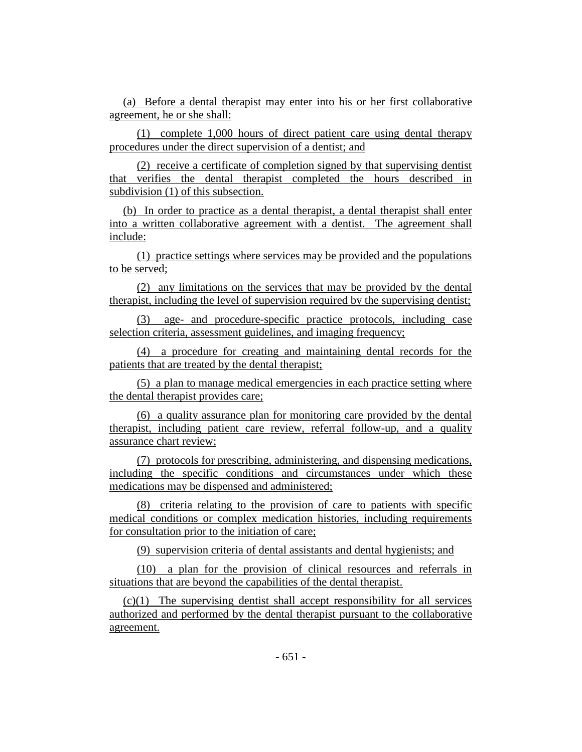(a) Before a dental therapist may enter into his or her first collaborative agreement, he or she shall:

(1) complete 1,000 hours of direct patient care using dental therapy procedures under the direct supervision of a dentist; and

(2) receive a certificate of completion signed by that supervising dentist that verifies the dental therapist completed the hours described in subdivision (1) of this subsection.

(b) In order to practice as a dental therapist, a dental therapist shall enter into a written collaborative agreement with a dentist. The agreement shall include:

(1) practice settings where services may be provided and the populations to be served;

(2) any limitations on the services that may be provided by the dental therapist, including the level of supervision required by the supervising dentist;

(3) age- and procedure-specific practice protocols, including case selection criteria, assessment guidelines, and imaging frequency;

(4) a procedure for creating and maintaining dental records for the patients that are treated by the dental therapist;

(5) a plan to manage medical emergencies in each practice setting where the dental therapist provides care;

(6) a quality assurance plan for monitoring care provided by the dental therapist, including patient care review, referral follow-up, and a quality assurance chart review;

(7) protocols for prescribing, administering, and dispensing medications, including the specific conditions and circumstances under which these medications may be dispensed and administered;

(8) criteria relating to the provision of care to patients with specific medical conditions or complex medication histories, including requirements for consultation prior to the initiation of care;

(9) supervision criteria of dental assistants and dental hygienists; and

(10) a plan for the provision of clinical resources and referrals in situations that are beyond the capabilities of the dental therapist.

(c)(1) The supervising dentist shall accept responsibility for all services authorized and performed by the dental therapist pursuant to the collaborative agreement.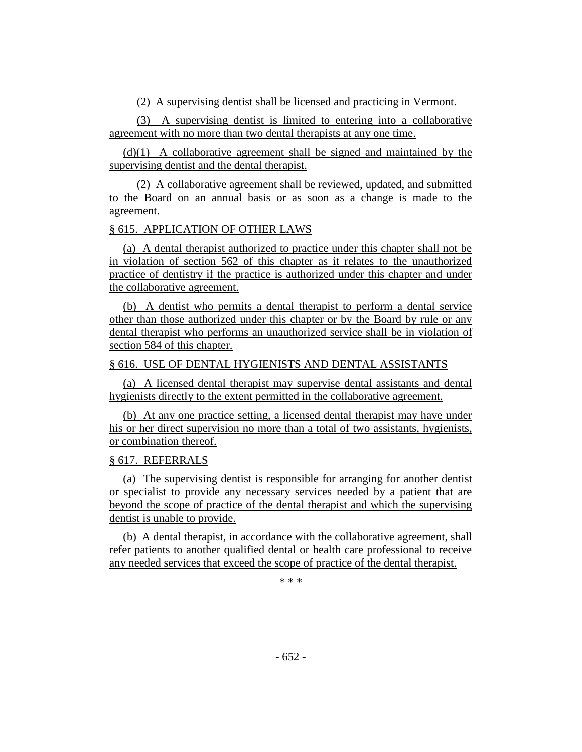(2) A supervising dentist shall be licensed and practicing in Vermont.

(3) A supervising dentist is limited to entering into a collaborative agreement with no more than two dental therapists at any one time.

(d)(1) A collaborative agreement shall be signed and maintained by the supervising dentist and the dental therapist.

(2) A collaborative agreement shall be reviewed, updated, and submitted to the Board on an annual basis or as soon as a change is made to the agreement.

# § 615. APPLICATION OF OTHER LAWS

(a) A dental therapist authorized to practice under this chapter shall not be in violation of section 562 of this chapter as it relates to the unauthorized practice of dentistry if the practice is authorized under this chapter and under the collaborative agreement.

(b) A dentist who permits a dental therapist to perform a dental service other than those authorized under this chapter or by the Board by rule or any dental therapist who performs an unauthorized service shall be in violation of section 584 of this chapter.

# § 616. USE OF DENTAL HYGIENISTS AND DENTAL ASSISTANTS

(a) A licensed dental therapist may supervise dental assistants and dental hygienists directly to the extent permitted in the collaborative agreement.

(b) At any one practice setting, a licensed dental therapist may have under his or her direct supervision no more than a total of two assistants, hygienists, or combination thereof.

# § 617. REFERRALS

(a) The supervising dentist is responsible for arranging for another dentist or specialist to provide any necessary services needed by a patient that are beyond the scope of practice of the dental therapist and which the supervising dentist is unable to provide.

(b) A dental therapist, in accordance with the collaborative agreement, shall refer patients to another qualified dental or health care professional to receive any needed services that exceed the scope of practice of the dental therapist.

\* \* \*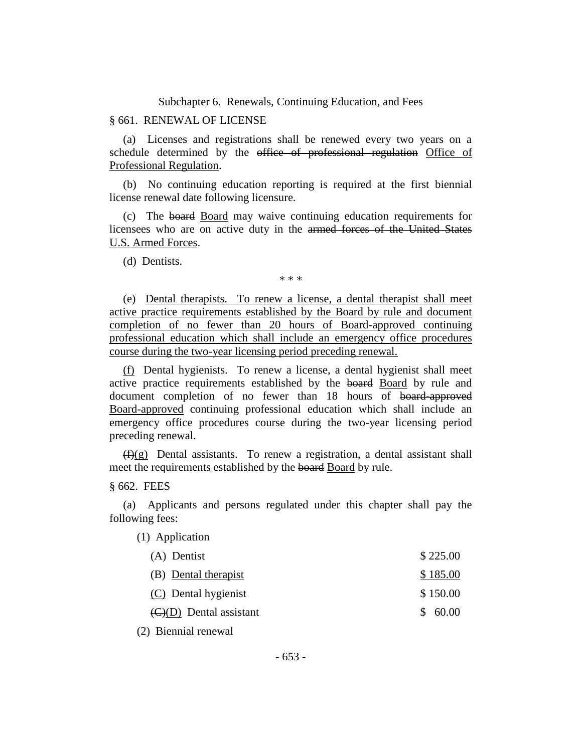Subchapter 6. Renewals, Continuing Education, and Fees

## § 661. RENEWAL OF LICENSE

(a) Licenses and registrations shall be renewed every two years on a schedule determined by the office of professional regulation Office of Professional Regulation.

(b) No continuing education reporting is required at the first biennial license renewal date following licensure.

(c) The board Board may waive continuing education requirements for licensees who are on active duty in the armed forces of the United States U.S. Armed Forces.

(d) Dentists.

\* \* \*

(e) Dental therapists. To renew a license, a dental therapist shall meet active practice requirements established by the Board by rule and document completion of no fewer than 20 hours of Board-approved continuing professional education which shall include an emergency office procedures course during the two-year licensing period preceding renewal.

(f) Dental hygienists. To renew a license, a dental hygienist shall meet active practice requirements established by the board Board by rule and document completion of no fewer than 18 hours of board-approved Board-approved continuing professional education which shall include an emergency office procedures course during the two-year licensing period preceding renewal.

 $(f)(g)$  Dental assistants. To renew a registration, a dental assistant shall meet the requirements established by the board Board by rule.

§ 662. FEES

(a) Applicants and persons regulated under this chapter shall pay the following fees:

(1) Application

| (A) Dentist                                 | \$225.00 |
|---------------------------------------------|----------|
| (B) Dental therapist                        | \$185.00 |
| (C) Dental hygienist                        | \$150.00 |
| $\left(\frac{C}{D}\right)$ Dental assistant | \$60.00  |
|                                             |          |

(2) Biennial renewal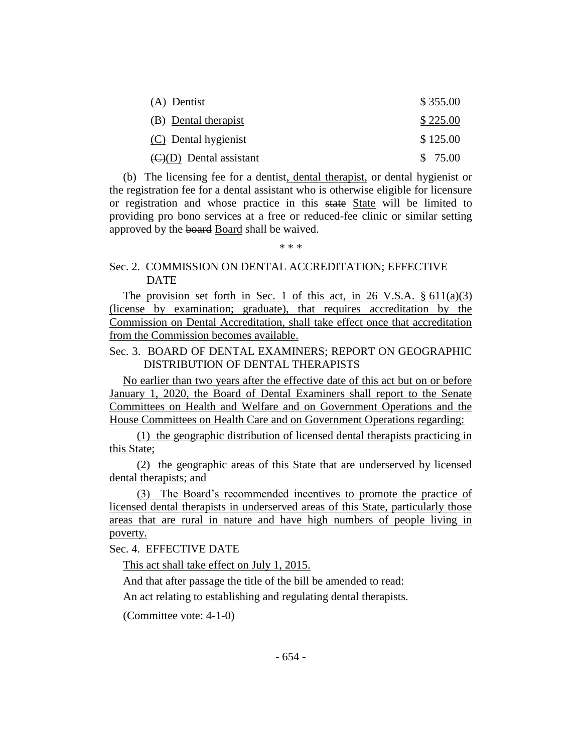| (A) Dentist                              | \$355.00 |
|------------------------------------------|----------|
| (B) Dental therapist                     | \$225.00 |
| (C) Dental hygienist                     | \$125.00 |
| $\langle C \rangle$ (D) Dental assistant | \$75.00  |

(b) The licensing fee for a dentist, dental therapist, or dental hygienist or the registration fee for a dental assistant who is otherwise eligible for licensure or registration and whose practice in this state State will be limited to providing pro bono services at a free or reduced-fee clinic or similar setting approved by the board Board shall be waived.

\* \* \*

# Sec. 2. COMMISSION ON DENTAL ACCREDITATION; EFFECTIVE **DATE**

The provision set forth in Sec. 1 of this act, in 26 V.S.A.  $\S 611(a)(3)$ (license by examination; graduate), that requires accreditation by the Commission on Dental Accreditation, shall take effect once that accreditation from the Commission becomes available.

# Sec. 3. BOARD OF DENTAL EXAMINERS; REPORT ON GEOGRAPHIC DISTRIBUTION OF DENTAL THERAPISTS

No earlier than two years after the effective date of this act but on or before January 1, 2020, the Board of Dental Examiners shall report to the Senate Committees on Health and Welfare and on Government Operations and the House Committees on Health Care and on Government Operations regarding:

(1) the geographic distribution of licensed dental therapists practicing in this State;

(2) the geographic areas of this State that are underserved by licensed dental therapists; and

(3) The Board's recommended incentives to promote the practice of licensed dental therapists in underserved areas of this State, particularly those areas that are rural in nature and have high numbers of people living in poverty.

Sec. 4. EFFECTIVE DATE

This act shall take effect on July 1, 2015.

And that after passage the title of the bill be amended to read:

An act relating to establishing and regulating dental therapists.

(Committee vote: 4-1-0)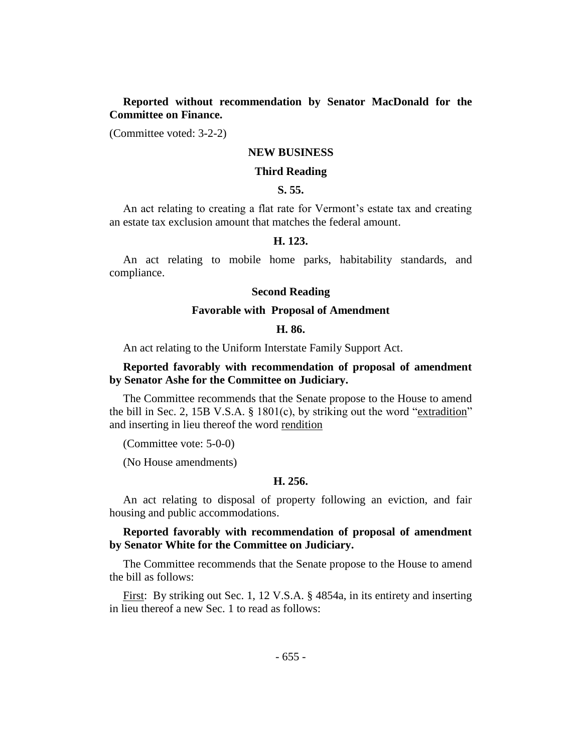**Reported without recommendation by Senator MacDonald for the Committee on Finance.**

(Committee voted: 3-2-2)

## **NEW BUSINESS**

# **Third Reading**

# **S. 55.**

An act relating to creating a flat rate for Vermont's estate tax and creating an estate tax exclusion amount that matches the federal amount.

# **H. 123.**

An act relating to mobile home parks, habitability standards, and compliance.

## **Second Reading**

#### **Favorable with Proposal of Amendment**

# **H. 86.**

An act relating to the Uniform Interstate Family Support Act.

# **Reported favorably with recommendation of proposal of amendment by Senator Ashe for the Committee on Judiciary.**

The Committee recommends that the Senate propose to the House to amend the bill in Sec. 2, 15B V.S.A. § 1801(c), by striking out the word "extradition" and inserting in lieu thereof the word rendition

(Committee vote: 5-0-0)

(No House amendments)

#### **H. 256.**

An act relating to disposal of property following an eviction, and fair housing and public accommodations.

# **Reported favorably with recommendation of proposal of amendment by Senator White for the Committee on Judiciary.**

The Committee recommends that the Senate propose to the House to amend the bill as follows:

First: By striking out Sec. 1, 12 V.S.A. § 4854a, in its entirety and inserting in lieu thereof a new Sec. 1 to read as follows: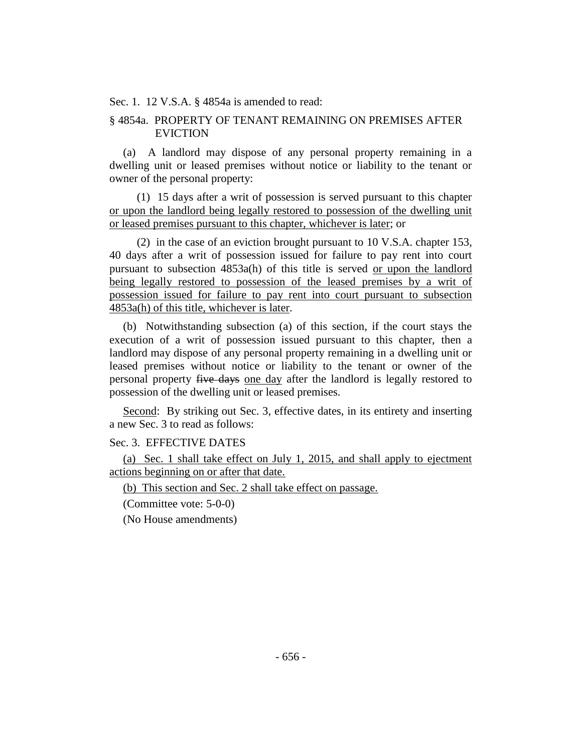Sec. 1. 12 V.S.A. § 4854a is amended to read:

# § 4854a. PROPERTY OF TENANT REMAINING ON PREMISES AFTER EVICTION

(a) A landlord may dispose of any personal property remaining in a dwelling unit or leased premises without notice or liability to the tenant or owner of the personal property:

(1) 15 days after a writ of possession is served pursuant to this chapter or upon the landlord being legally restored to possession of the dwelling unit or leased premises pursuant to this chapter, whichever is later; or

(2) in the case of an eviction brought pursuant to 10 V.S.A. chapter 153, 40 days after a writ of possession issued for failure to pay rent into court pursuant to subsection 4853a(h) of this title is served or upon the landlord being legally restored to possession of the leased premises by a writ of possession issued for failure to pay rent into court pursuant to subsection 4853a(h) of this title, whichever is later.

(b) Notwithstanding subsection (a) of this section, if the court stays the execution of a writ of possession issued pursuant to this chapter, then a landlord may dispose of any personal property remaining in a dwelling unit or leased premises without notice or liability to the tenant or owner of the personal property five days one day after the landlord is legally restored to possession of the dwelling unit or leased premises.

Second: By striking out Sec. 3, effective dates, in its entirety and inserting a new Sec. 3 to read as follows:

## Sec. 3. EFFECTIVE DATES

(a) Sec. 1 shall take effect on July 1, 2015, and shall apply to ejectment actions beginning on or after that date.

(b) This section and Sec. 2 shall take effect on passage.

(Committee vote: 5-0-0)

(No House amendments)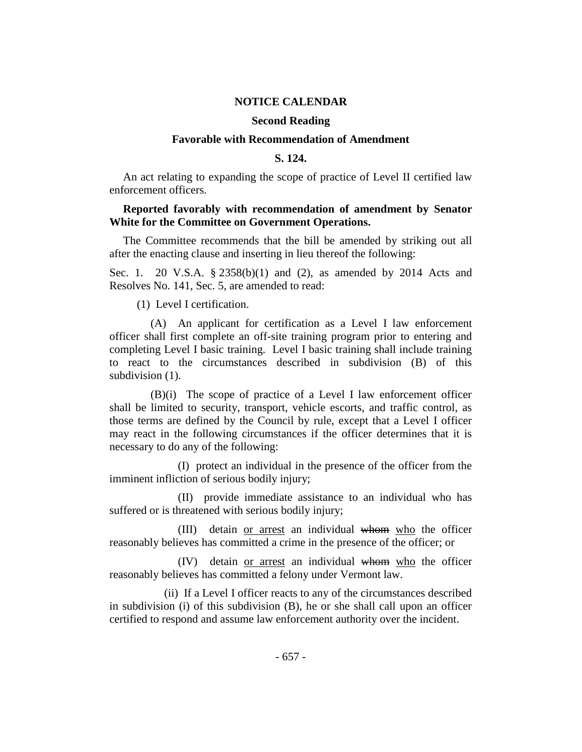## **NOTICE CALENDAR**

# **Second Reading**

#### **Favorable with Recommendation of Amendment**

## **S. 124.**

An act relating to expanding the scope of practice of Level II certified law enforcement officers.

# **Reported favorably with recommendation of amendment by Senator White for the Committee on Government Operations.**

The Committee recommends that the bill be amended by striking out all after the enacting clause and inserting in lieu thereof the following:

Sec. 1. 20 V.S.A. § 2358(b)(1) and (2), as amended by 2014 Acts and Resolves No. 141, Sec. 5, are amended to read:

(1) Level I certification.

(A) An applicant for certification as a Level I law enforcement officer shall first complete an off-site training program prior to entering and completing Level I basic training. Level I basic training shall include training to react to the circumstances described in subdivision (B) of this subdivision (1).

(B)(i) The scope of practice of a Level I law enforcement officer shall be limited to security, transport, vehicle escorts, and traffic control, as those terms are defined by the Council by rule, except that a Level I officer may react in the following circumstances if the officer determines that it is necessary to do any of the following:

(I) protect an individual in the presence of the officer from the imminent infliction of serious bodily injury;

(II) provide immediate assistance to an individual who has suffered or is threatened with serious bodily injury;

(III) detain or arrest an individual whom who the officer reasonably believes has committed a crime in the presence of the officer; or

(IV) detain or arrest an individual whom who the officer reasonably believes has committed a felony under Vermont law.

(ii) If a Level I officer reacts to any of the circumstances described in subdivision (i) of this subdivision (B), he or she shall call upon an officer certified to respond and assume law enforcement authority over the incident.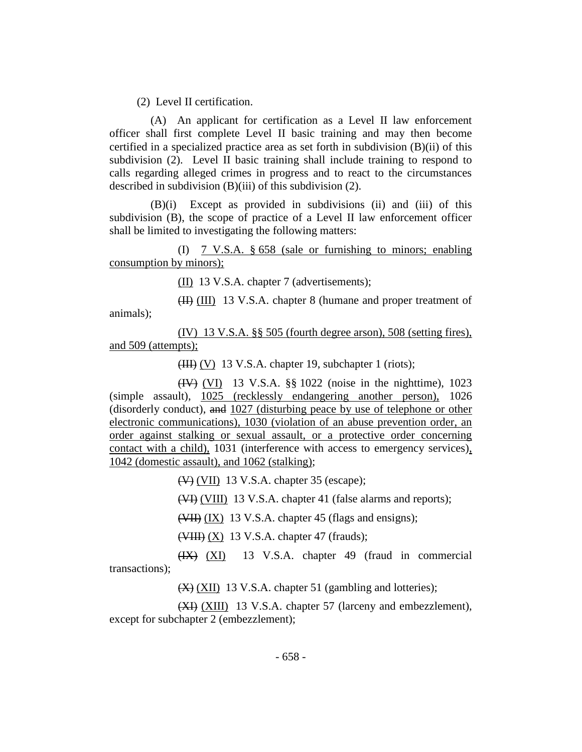(2) Level II certification.

(A) An applicant for certification as a Level II law enforcement officer shall first complete Level II basic training and may then become certified in a specialized practice area as set forth in subdivision (B)(ii) of this subdivision (2). Level II basic training shall include training to respond to calls regarding alleged crimes in progress and to react to the circumstances described in subdivision (B)(iii) of this subdivision (2).

(B)(i) Except as provided in subdivisions (ii) and (iii) of this subdivision (B), the scope of practice of a Level II law enforcement officer shall be limited to investigating the following matters:

(I) 7 V.S.A. § 658 (sale or furnishing to minors; enabling consumption by minors);

(II) 13 V.S.A. chapter 7 (advertisements);

(II) (III) 13 V.S.A. chapter 8 (humane and proper treatment of animals);

(IV) 13 V.S.A. §§ 505 (fourth degree arson), 508 (setting fires), and 509 (attempts);

 $(HH)(V)$  13 V.S.A. chapter 19, subchapter 1 (riots);

(IV) (VI) 13 V.S.A. §§ 1022 (noise in the nighttime), 1023 (simple assault), 1025 (recklessly endangering another person), 1026 (disorderly conduct), and 1027 (disturbing peace by use of telephone or other electronic communications), 1030 (violation of an abuse prevention order, an order against stalking or sexual assault, or a protective order concerning contact with a child), 1031 (interference with access to emergency services), 1042 (domestic assault), and 1062 (stalking);

(V) (VII) 13 V.S.A. chapter 35 (escape);

(VI) (VIII) 13 V.S.A. chapter 41 (false alarms and reports);

(VII) (IX) 13 V.S.A. chapter 45 (flags and ensigns);

 $(\overline{\text{VIII}})$   $(X)$  13 V.S.A. chapter 47 (frauds);

(IX) (XI) 13 V.S.A. chapter 49 (fraud in commercial transactions);

(X) (XII) 13 V.S.A. chapter 51 (gambling and lotteries);

(XI) (XIII) 13 V.S.A. chapter 57 (larceny and embezzlement), except for subchapter 2 (embezzlement);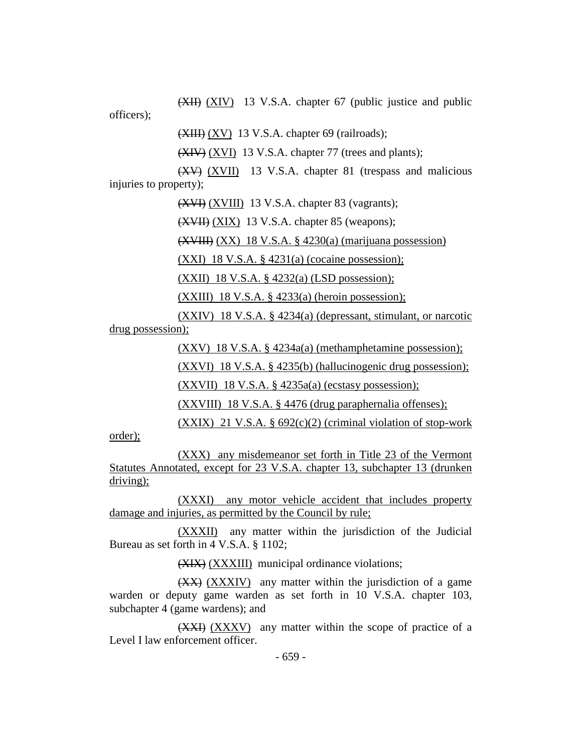(XII) (XIV) 13 V.S.A. chapter 67 (public justice and public

officers);

 $(XIII) (XV)$  13 V.S.A. chapter 69 (railroads);

(XIV) (XVI) 13 V.S.A. chapter 77 (trees and plants);

(XV) (XVII) 13 V.S.A. chapter 81 (trespass and malicious injuries to property);

(XVI) (XVIII) 13 V.S.A. chapter 83 (vagrants);

(XVII) (XIX) 13 V.S.A. chapter 85 (weapons);

(XVIII) (XX) 18 V.S.A. § 4230(a) (marijuana possession)

 $(XXI)$  18 V.S.A. § 4231(a) (cocaine possession);

(XXII) 18 V.S.A. § 4232(a) (LSD possession);

(XXIII) 18 V.S.A.  $\S$  4233(a) (heroin possession);

(XXIV) 18 V.S.A. § 4234(a) (depressant, stimulant, or narcotic drug possession);

(XXV) 18 V.S.A. § 4234a(a) (methamphetamine possession);

(XXVI) 18 V.S.A. § 4235(b) (hallucinogenic drug possession);

(XXVII) 18 V.S.A. § 4235a(a) (ecstasy possession);

(XXVIII) 18 V.S.A. § 4476 (drug paraphernalia offenses);

 $(XXIX)$  21 V.S.A. § 692(c)(2) (criminal violation of stop-work order);

(XXX) any misdemeanor set forth in Title 23 of the Vermont Statutes Annotated, except for 23 V.S.A. chapter 13, subchapter 13 (drunken driving);

(XXXI) any motor vehicle accident that includes property damage and injuries, as permitted by the Council by rule;

(XXXII) any matter within the jurisdiction of the Judicial Bureau as set forth in 4 V.S.A. § 1102;

(XIX) (XXXIII) municipal ordinance violations;

(XX) (XXXIV) any matter within the jurisdiction of a game warden or deputy game warden as set forth in 10 V.S.A. chapter 103, subchapter 4 (game wardens); and

(XXI) (XXXV) any matter within the scope of practice of a Level I law enforcement officer.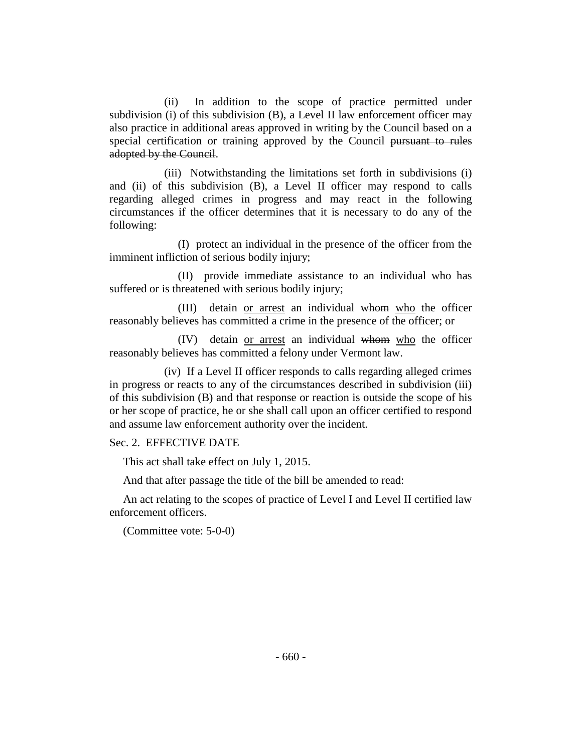(ii) In addition to the scope of practice permitted under subdivision (i) of this subdivision (B), a Level II law enforcement officer may also practice in additional areas approved in writing by the Council based on a special certification or training approved by the Council pursuant to rules adopted by the Council.

(iii) Notwithstanding the limitations set forth in subdivisions (i) and (ii) of this subdivision (B), a Level II officer may respond to calls regarding alleged crimes in progress and may react in the following circumstances if the officer determines that it is necessary to do any of the following:

(I) protect an individual in the presence of the officer from the imminent infliction of serious bodily injury;

(II) provide immediate assistance to an individual who has suffered or is threatened with serious bodily injury;

(III) detain or arrest an individual whom who the officer reasonably believes has committed a crime in the presence of the officer; or

(IV) detain or arrest an individual whom who the officer reasonably believes has committed a felony under Vermont law.

(iv) If a Level II officer responds to calls regarding alleged crimes in progress or reacts to any of the circumstances described in subdivision (iii) of this subdivision (B) and that response or reaction is outside the scope of his or her scope of practice, he or she shall call upon an officer certified to respond and assume law enforcement authority over the incident.

## Sec. 2. EFFECTIVE DATE

This act shall take effect on July 1, 2015.

And that after passage the title of the bill be amended to read:

An act relating to the scopes of practice of Level I and Level II certified law enforcement officers.

(Committee vote: 5-0-0)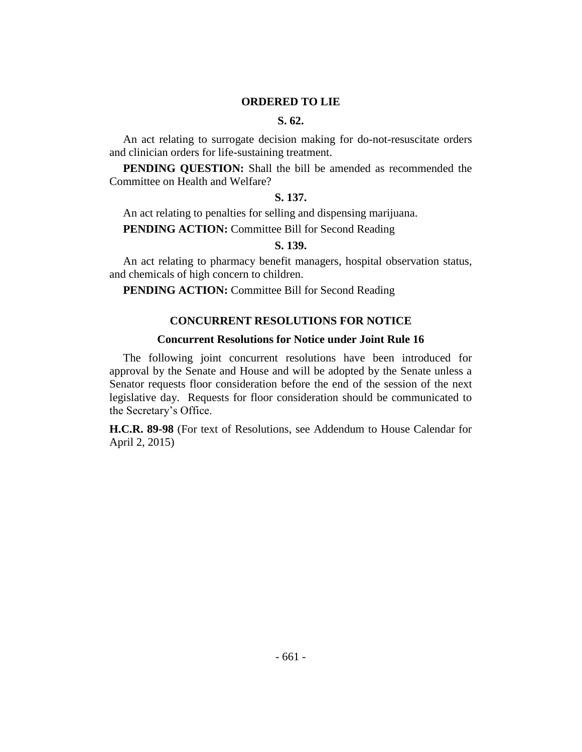#### **ORDERED TO LIE**

#### **S. 62.**

An act relating to surrogate decision making for do-not-resuscitate orders and clinician orders for life-sustaining treatment.

**PENDING QUESTION:** Shall the bill be amended as recommended the Committee on Health and Welfare?

## **S. 137.**

An act relating to penalties for selling and dispensing marijuana.

**PENDING ACTION:** Committee Bill for Second Reading

# **S. 139.**

An act relating to pharmacy benefit managers, hospital observation status, and chemicals of high concern to children.

**PENDING ACTION:** Committee Bill for Second Reading

# **CONCURRENT RESOLUTIONS FOR NOTICE**

# **Concurrent Resolutions for Notice under Joint Rule 16**

The following joint concurrent resolutions have been introduced for approval by the Senate and House and will be adopted by the Senate unless a Senator requests floor consideration before the end of the session of the next legislative day. Requests for floor consideration should be communicated to the Secretary's Office.

**H.C.R. 89-98** (For text of Resolutions, see Addendum to House Calendar for April 2, 2015)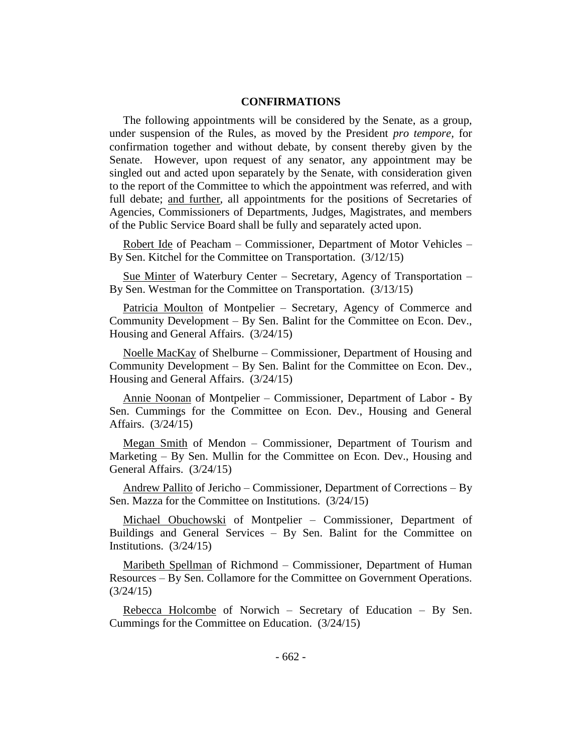# **CONFIRMATIONS**

The following appointments will be considered by the Senate, as a group, under suspension of the Rules, as moved by the President *pro tempore,* for confirmation together and without debate, by consent thereby given by the Senate. However, upon request of any senator, any appointment may be singled out and acted upon separately by the Senate, with consideration given to the report of the Committee to which the appointment was referred, and with full debate; and further, all appointments for the positions of Secretaries of Agencies, Commissioners of Departments, Judges, Magistrates, and members of the Public Service Board shall be fully and separately acted upon.

Robert Ide of Peacham – Commissioner, Department of Motor Vehicles – By Sen. Kitchel for the Committee on Transportation. (3/12/15)

Sue Minter of Waterbury Center – Secretary, Agency of Transportation – By Sen. Westman for the Committee on Transportation. (3/13/15)

Patricia Moulton of Montpelier - Secretary, Agency of Commerce and Community Development – By Sen. Balint for the Committee on Econ. Dev., Housing and General Affairs. (3/24/15)

Noelle MacKay of Shelburne – Commissioner, Department of Housing and Community Development – By Sen. Balint for the Committee on Econ. Dev., Housing and General Affairs. (3/24/15)

Annie Noonan of Montpelier – Commissioner, Department of Labor - By Sen. Cummings for the Committee on Econ. Dev., Housing and General Affairs. (3/24/15)

Megan Smith of Mendon – Commissioner, Department of Tourism and Marketing – By Sen. Mullin for the Committee on Econ. Dev., Housing and General Affairs. (3/24/15)

Andrew Pallito of Jericho – Commissioner, Department of Corrections – By Sen. Mazza for the Committee on Institutions. (3/24/15)

Michael Obuchowski of Montpelier – Commissioner, Department of Buildings and General Services – By Sen. Balint for the Committee on Institutions. (3/24/15)

Maribeth Spellman of Richmond – Commissioner, Department of Human Resources – By Sen. Collamore for the Committee on Government Operations.  $(3/24/15)$ 

Rebecca Holcombe of Norwich – Secretary of Education – By Sen. Cummings for the Committee on Education. (3/24/15)